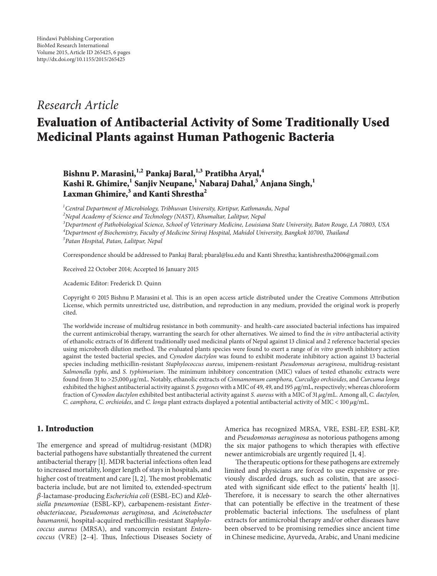# *Research Article*

# **Evaluation of Antibacterial Activity of Some Traditionally Used Medicinal Plants against Human Pathogenic Bacteria**

**Bishnu P. Marasini,1,2 Pankaj Baral,1,3 Pratibha Aryal,<sup>4</sup> Kashi R. Ghimire,1 Sanjiv Neupane,<sup>1</sup> Nabaraj Dahal,5 Anjana Singh,<sup>1</sup>** Laxman Ghimire,<sup>3</sup> and Kanti Shrestha<sup>2</sup>

*1 Central Department of Microbiology, Tribhuvan University, Kirtipur, Kathmandu, Nepal*

*2 Nepal Academy of Science and Technology (NAST), Khumaltar, Lalitpur, Nepal*

*3 Department of Pathobiological Science, School of Veterinary Medicine, Louisiana State University, Baton Rouge, LA 70803, USA 4 Department of Biochemistry, Faculty of Medicine Siriraj Hospital, Mahidol University, Bangkok 10700, Thailand 5 Patan Hospital, Patan, Lalitpur, Nepal*

Correspondence should be addressed to Pankaj Baral; pbaral@lsu.edu and Kanti Shrestha; kantishrestha2006@gmail.com

Received 22 October 2014; Accepted 16 January 2015

Academic Editor: Frederick D. Quinn

Copyright © 2015 Bishnu P. Marasini et al. This is an open access article distributed under the Creative Commons Attribution License, which permits unrestricted use, distribution, and reproduction in any medium, provided the original work is properly cited.

The worldwide increase of multidrug resistance in both community- and health-care associated bacterial infections has impaired the current antimicrobial therapy, warranting the search for other alternatives. We aimed to find the *in vitro* antibacterial activity of ethanolic extracts of 16 different traditionally used medicinal plants of Nepal against 13 clinical and 2 reference bacterial species using microbroth dilution method. The evaluated plants species were found to exert a range of *in vitro* growth inhibitory action against the tested bacterial species, and *Cynodon dactylon* was found to exhibit moderate inhibitory action against 13 bacterial species including methicillin-resistant *Staphylococcus aureus*, imipenem-resistant *Pseudomonas aeruginosa*, multidrug-resistant *Salmonella typhi*, and *S. typhimurium*. The minimum inhibitory concentration (MIC) values of tested ethanolic extracts were found from 31 to >25,000 g/mL. Notably, ethanolic extracts of *Cinnamomum camphora, Curculigo orchioides*, and *Curcuma longa* exhibited the highest antibacterial activity against *S. pyogenes*with a MIC of 49, 49, and 195 g/mL, respectively; whereas chloroform fraction of *Cynodon dactylon* exhibited best antibacterial activity against *S. aureus* with a MIC of 31  $\mu$ g/mL. Among all, *C. dactylon*, *C. camphora, C. orchioides, and <i>C. longa* plant extracts displayed a potential antibacterial activity of MIC < 100  $\mu$ g/mL.

# **1. Introduction**

The emergence and spread of multidrug-resistant (MDR) bacterial pathogens have substantially threatened the current antibacterial therapy [1]. MDR bacterial infections often lead to increased mortality, longer length of stays in hospitals, and higher cost of treatment and care [1, 2]. The most problematic bacteria include, but are not limited to, extended-spectrum -lactamase-producing *Escherichia coli* (ESBL-EC) and *Klebsiella pneumoniae* (ESBL-KP), carbapenem-resistant *Enterobacteriaceae*, *Pseudomonas aeruginosa*, and *Acinetobacter baumannii,* hospital-acquired methicillin-resistant *Staphylococcus aureus* (MRSA), and vancomycin resistant *Enterococcus* (VRE) [2–4]. Thus, Infectious Diseases Society of America has recognized MRSA, VRE, ESBL-EP, ESBL-KP, and *Pseudomonas aeruginosa* as notorious pathogens among the six major pathogens to which therapies with effective newer antimicrobials are urgently required [1, 4].

The therapeutic options for these pathogens are extremely limited and physicians are forced to use expensive or previously discarded drugs, such as colistin, that are associated with significant side effect to the patients' health [1]. Therefore, it is necessary to search the other alternatives that can potentially be effective in the treatment of these problematic bacterial infections. The usefulness of plant extracts for antimicrobial therapy and/or other diseases have been observed to be promising remedies since ancient time in Chinese medicine, Ayurveda, Arabic, and Unani medicine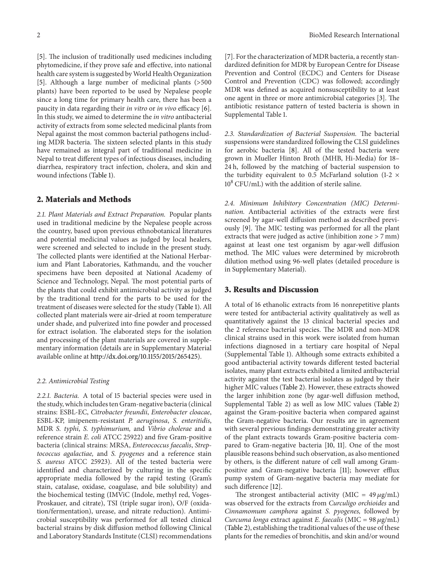[5]. The inclusion of traditionally used medicines including phytomedicine, if they prove safe and effective, into national health care system is suggested byWorld Health Organization [5]. Although a large number of medicinal plants (>500 plants) have been reported to be used by Nepalese people since a long time for primary health care, there has been a paucity in data regarding their *in vitro* or *in vivo* efficacy [6]. In this study, we aimed to determine the *in vitro* antibacterial activity of extracts from some selected medicinal plants from Nepal against the most common bacterial pathogens including MDR bacteria. The sixteen selected plants in this study have remained as integral part of traditional medicine in Nepal to treat different types of infectious diseases, including diarrhea, respiratory tract infection, cholera, and skin and wound infections (Table 1).

## **2. Materials and Methods**

*2.1. Plant Materials and Extract Preparation.* Popular plants used in traditional medicine by the Nepalese people across the country, based upon previous ethnobotanical literatures and potential medicinal values as judged by local healers, were screened and selected to include in the present study. The collected plants were identified at the National Herbarium and Plant Laboratories, Kathmandu, and the voucher specimens have been deposited at National Academy of Science and Technology, Nepal. The most potential parts of the plants that could exhibit antimicrobial activity as judged by the traditional trend for the parts to be used for the treatment of diseases were selected for the study (Table 1). All collected plant materials were air-dried at room temperature under shade, and pulverized into fine powder and processed for extract isolation. The elaborated steps for the isolation and processing of the plant materials are covered in supplementary information (details are in Supplementary Material available online at http://dx.doi.org/10.1155/2015/265425).

#### *2.2. Antimicrobial Testing*

*2.2.1. Bacteria.* A total of 15 bacterial species were used in the study, which includes ten Gram-negative bacteria (clinical strains: ESBL-EC, *Citrobacter freundii*, *Enterobacter cloacae*, ESBL-KP, imipenem-resistant *P. aeruginosa*, *S. enteritidis*, MDR *S. typhi*, *S. typhimurium,* and *Vibrio cholerae* and a reference strain *E. coli* ATCC 25922) and five Gram-positive bacteria (clinical strains: MRSA, *Enterococcus faecalis*, *Streptococcus agalactiae,* and *S. pyogenes* and a reference stain *S. aureus* ATCC 25923). All of the tested bacteria were identified and characterized by culturing in the specific appropriate media followed by the rapid testing (Gram's stain, catalase, oxidase, coagulase, and bile solubility) and the biochemical testing (IMViC (Indole, methyl red, Voges-Proskauer, and citrate), TSI (triple sugar iron), O/F (oxidation/fermentation), urease, and nitrate reduction). Antimicrobial susceptibility was performed for all tested clinical bacterial strains by disk diffusion method following Clinical and Laboratory Standards Institute (CLSI) recommendations

[7]. For the characterization of MDR bacteria, a recently standardized definition for MDR by European Centre for Disease Prevention and Control (ECDC) and Centers for Disease Control and Prevention (CDC) was followed; accordingly MDR was defined as acquired nonsusceptibility to at least one agent in three or more antimicrobial categories [3]. The antibiotic resistance pattern of tested bacteria is shown in Supplemental Table 1.

*2.3. Standardization of Bacterial Suspension.* The bacterial suspensions were standardized following the CLSI guidelines for aerobic bacteria [8]. All of the tested bacteria were grown in Mueller Hinton Broth (MHB, Hi-Media) for 18– 24 h, followed by the matching of bacterial suspension to the turbidity equivalent to 0.5 McFarland solution (1-2  $\times$  $10^8$  CFU/mL) with the addition of sterile saline.

*2.4. Minimum Inhibitory Concentration (MIC) Determination.* Antibacterial activities of the extracts were first screened by agar-well diffusion method as described previously [9]. The MIC testing was performed for all the plant extracts that were judged as active (inhibition zone > 7 mm) against at least one test organism by agar-well diffusion method. The MIC values were determined by microbroth dilution method using 96-well plates (detailed procedure is in Supplementary Material).

#### **3. Results and Discussion**

A total of 16 ethanolic extracts from 16 nonrepetitive plants were tested for antibacterial activity qualitatively as well as quantitatively against the 13 clinical bacterial species and the 2 reference bacterial species. The MDR and non-MDR clinical strains used in this work were isolated from human infections diagnosed in a tertiary care hospital of Nepal (Supplemental Table 1). Although some extracts exhibited a good antibacterial activity towards different tested bacterial isolates, many plant extracts exhibited a limited antibacterial activity against the test bacterial isolates as judged by their higher MIC values (Table 2). However, these extracts showed the larger inhibition zone (by agar-well diffusion method, Supplemental Table 2) as well as low MIC values (Table 2) against the Gram-positive bacteria when compared against the Gram-negative bacteria. Our results are in agreement with several previous findings demonstrating greater activity of the plant extracts towards Gram-positive bacteria compared to Gram-negative bacteria [10, 11]. One of the most plausible reasons behind such observation, as also mentioned by others, is the different nature of cell wall among Grampositive and Gram-negative bacteria [11]; however efflux pump system of Gram-negative bacteria may mediate for such difference [12].

The strongest antibacterial activity (MIC =  $49 \mu g/mL$ ) was observed for the extracts from *Curculigo orchioides* and *Cinnamomum camphora* against *S. pyogenes,* followed by *Curcuma longa* extract against *E. faecalis* (MIC = 98  $\mu$ g/mL) (Table 2), establishing the traditional values of the use of these plants for the remedies of bronchitis, and skin and/or wound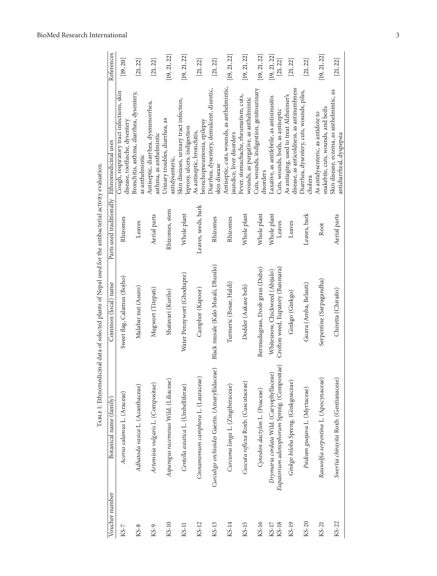|                  |                                                                                        | TABLE I: Ethnomedicinal data of selected plants of Nepal used for the antibacterial activity evaluation. |                          |                                                                                      |                          |
|------------------|----------------------------------------------------------------------------------------|----------------------------------------------------------------------------------------------------------|--------------------------|--------------------------------------------------------------------------------------|--------------------------|
| Voucher number   | Botanical name (family)                                                                | Common (local) name                                                                                      | Parts used traditionally | Ethnomedicinal uses                                                                  | References               |
| KS-7             | Acorus calamus L. (Araceae)                                                            | Sweet flag, Calamus (Bojho)                                                                              | Rhizomes                 | Cough, respiratory tract infections, skin<br>disease, toothache, dysentery           | [19, 20]                 |
| KS-8             | Adhatoda vasica L. (Acanthaceae)                                                       | Malabar nut (Asuro)                                                                                      | Leaves                   | Bronchitis, asthma, diarrhea, dysentery,<br>as anthelmintic                          | [21, 22]                 |
| KS-9             | Artemisia vulgaris L. (Compositae)                                                     | Mugwort (Titepati)                                                                                       | Aerial parts             | Antiseptic, diarrhea, dysmenorrhea,<br>asthma, as anthelmintic                       | [21, 22]                 |
| KS-10            | Asparagus racemosus Wild. (Liliaceae)                                                  | Shatavari (Kurilo)                                                                                       | Rhizomes, stem           | Urinary troubles, diarrhea, as<br>antidysenteric,                                    | [19, 21, 22]             |
| KS-11            | Centella asiatica L. (Umbelliferae)                                                    | Water Pennywort (Ghodtapre)                                                                              | Whole plant              | Skin diseases, urinary tract infection,<br>leprosy, ulcers, indigestion              | [19, 21, 22]             |
| KS-12            | Cinnamomum camphora L. (Lauraceae)                                                     | Camphor (Kapoor)                                                                                         | Leaves, seeds, bark      | bronchopneumonia, epilepsy<br>As antiseptic, bronchitis,                             | $\left[21,\,22\right]$   |
| KS-13            | Curculigo orchioides Gaertn. (Amaryllidaceae)                                          | Black musale (Kalo Musali, Dhusilo)                                                                      | Rhizomes                 | Diarrhea, dysentery, demulcent, diuretic,<br>skin disease                            | $\left[21,\,22\right]$   |
| KS-14            | Curcuma longa L. (Zingiberaceae)                                                       | Turmeric (Besar, Haldi)                                                                                  | Rhizomes                 | Antiseptic, cuts, wounds, as anthelmintic,<br>jaundice, liver disorders              | [19, 21, 22]             |
| KS-15            | Cuscuta reflexa Roxb. (Cuscutaceae)                                                    | Dodder (Aakase beli)                                                                                     | Whole plant              | Fever, stomachache, rheumatism, cuts,<br>wounds, as purgative, as anthelmintic       | [19, 21, 22]             |
| KS-16            | Cynodon dactylon L. (Poaceae)                                                          | Bermudagrass, Doob grass (Dubo)                                                                          | Whole plant              | Cuts, wounds, indigestion, genitourinary<br>disorders                                | [19, 21, 22]             |
| KS-18<br>$KS-17$ | Eupatorium adenophorum Spreng. (Compositae)<br>Drymaria cordata Wild. (Caryophyllaceae | Crofton weed, Eupatory (Banmara)<br>Whitesnow, Chickweed (Abijalo)                                       | Whole plant<br>Leaves    | Laxative, as antifebrile, as antisinusitis<br>Cuts, wounds, boils, as antiseptic     | [19, 21, 22]<br>[21, 22] |
| KS-19            | Ginkgo biloba Spreng. (Ginkgoaceae)                                                    | Ginkgo (Ginkgo)                                                                                          | Leaves                   | disease, as anticoldness, as antinumbness<br>As antiaging, used to treat Alzheimer's | $[21, 22]$               |
| KS-20            | Psidium guajava L. (Myrtaceae)                                                         | Guava (Amba, Belauti)                                                                                    | Leaves, bark             | Diarrhea, dysentery, cuts, wounds, piles,<br>cholera                                 | [21, 22]                 |
| KS-21            | Rauwolfia serpentina L. (Apocynaceae)                                                  | Serpentine (Sarpagandha)                                                                                 | Root                     | snakebite, cuts, wounds, and boils<br>As antidysenteric, as antidote to              | [19, 21, 22]             |
| KS-22            | Swertia chirayita Roxb. (Gentianaceae)                                                 | Chiretta (Chiraito)                                                                                      | Aerial parts             | Skin disease, eczema, as anthelmintic, as<br>antidiarrheal, dyspepsia                | [21, 22]                 |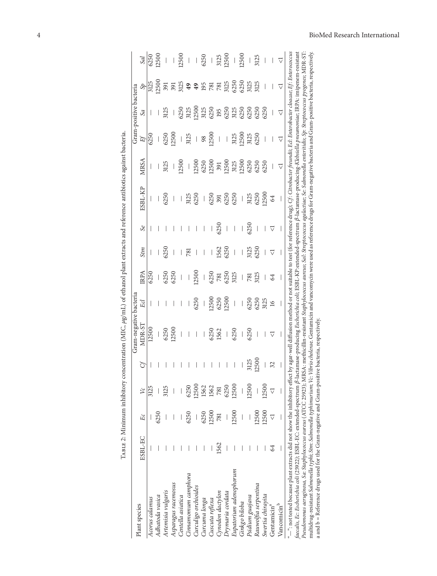|                                                                                                                                                                                                                                                                                                      |         |                                |           |       | Gram-negative bacteria                                                                                                                                 |                 |                          |                          |                          |                          |                          |                          | Gram-positive bacteria |                       |                          |
|------------------------------------------------------------------------------------------------------------------------------------------------------------------------------------------------------------------------------------------------------------------------------------------------------|---------|--------------------------------|-----------|-------|--------------------------------------------------------------------------------------------------------------------------------------------------------|-----------------|--------------------------|--------------------------|--------------------------|--------------------------|--------------------------|--------------------------|------------------------|-----------------------|--------------------------|
| Plant species                                                                                                                                                                                                                                                                                        | ESBL-EC | Ec                             | $\approx$ | Ğ     | MDR-ST                                                                                                                                                 | Ecl             | IRPA                     | Stm                      | $\infty$                 | ESBL-KP                  | MRSA                     | 圩                        | $\mathcal{S}a$         | $\mathcal{S}$         | Sal                      |
| Acorus calamus                                                                                                                                                                                                                                                                                       |         |                                | 3125      | I     | 12500                                                                                                                                                  | I               | 6250                     |                          |                          |                          | I                        | 6250                     |                        | 3125                  | 6250                     |
| Adhatoda vasica                                                                                                                                                                                                                                                                                      |         | 6250                           |           |       |                                                                                                                                                        |                 |                          |                          |                          |                          |                          |                          |                        | 12500                 | 12500                    |
| Artemisia vulgaris                                                                                                                                                                                                                                                                                   |         |                                | 3125      |       | 6250                                                                                                                                                   |                 | 6250                     | 6250                     |                          | 6250                     | 3125                     | 6250                     | 3125                   | 391                   |                          |
| Asparagus racemosus                                                                                                                                                                                                                                                                                  |         |                                |           |       | 12500                                                                                                                                                  |                 | 6250                     | I                        |                          | I                        | $\mid$                   | 12500                    |                        | 391                   |                          |
| Centella asiatica                                                                                                                                                                                                                                                                                    |         |                                |           |       | $\overline{\phantom{a}}$                                                                                                                               |                 | $\overline{\phantom{a}}$ | I                        |                          | I                        | 12500                    | I                        | 6250                   | 3125                  | 12500                    |
| Cinnamomum camphora                                                                                                                                                                                                                                                                                  |         | 6250                           | 6250      |       | I                                                                                                                                                      |                 |                          | 781                      |                          | 3125                     | $\bigg $                 | 3125                     | 3125                   | 49                    |                          |
| Curculigo orchioides                                                                                                                                                                                                                                                                                 |         | $\overline{\phantom{a}}$       | 12500     |       | $\overline{\phantom{a}}$                                                                                                                               | 6250            | 12500                    |                          |                          | 6250                     | 12500                    | $\bigg $                 | 12500                  | 49                    |                          |
| Curcuma longa                                                                                                                                                                                                                                                                                        |         | 6250                           | 1562      |       |                                                                                                                                                        |                 |                          |                          |                          |                          | 6250                     | 98                       | 3125                   | 195                   | 6250                     |
| Cuscuta reflexa                                                                                                                                                                                                                                                                                      |         | 12500                          | 1562      |       | 6250                                                                                                                                                   | 12500           | 6250                     | $\overline{\phantom{a}}$ |                          | 6250                     | 12500                    | 12500                    | 6250                   |                       | $\overline{\phantom{a}}$ |
| Cynodon dactylon                                                                                                                                                                                                                                                                                     | 1562    | 781                            | 781       |       | 1562                                                                                                                                                   | 6250            | 781                      | 1562                     | 6250                     | 391                      | 391                      | $\bigg $                 | 195                    | <b>781</b>            | 3125                     |
| Drymaria cordata                                                                                                                                                                                                                                                                                     |         |                                | 6250      |       | $\begin{array}{c} \hline \end{array}$                                                                                                                  | 12500           | 6250                     | 6250                     | $\overline{\phantom{a}}$ | 6250                     | 12500                    | $\overline{\phantom{a}}$ | 6250                   | 3125                  | 12500                    |
| Eupatorium adenophorum                                                                                                                                                                                                                                                                               |         | 12500                          | 12500     |       | 6250                                                                                                                                                   |                 | 3125                     | I                        | I                        | 6250                     | 3125                     | 3125                     | 3125                   | 6250                  |                          |
| Ginkgo biloba                                                                                                                                                                                                                                                                                        |         |                                |           |       | I                                                                                                                                                      |                 | I                        |                          |                          | $\overline{\phantom{a}}$ | 12500                    | 12500                    | 6250                   | 6250                  | 12500                    |
| Psidium guajava                                                                                                                                                                                                                                                                                      |         |                                | 12500     | 3125  | 6250                                                                                                                                                   | 6250            | 781                      | 3125                     | 6250                     | 3125                     | 6250                     | 3125                     | 6250                   | 3125                  |                          |
| Rauwolfia serpentina                                                                                                                                                                                                                                                                                 |         | 12500                          |           | 12500 | I                                                                                                                                                      | 6250            | 3125                     | 6250                     | $\overline{\phantom{a}}$ | 6250                     | 6250                     | 6250                     | 6250                   | 3125                  | 3125                     |
| Swertia chiravita                                                                                                                                                                                                                                                                                    |         | 12500                          | 12500     | I     | I                                                                                                                                                      | 3125            | I                        | I                        | I                        | 12500                    | 6250                     | I                        | 6250                   | I                     |                          |
| Gentamicin <sup>a</sup>                                                                                                                                                                                                                                                                              | 64      | $\overline{\vee}$              |           | 32    | $\triangledown$                                                                                                                                        | $\overline{16}$ | 64                       | $\triangledown$          | ▽                        | 64                       | $\overline{\phantom{a}}$ | $\overline{\phantom{a}}$ |                        |                       |                          |
| Vancomicin <sup>b</sup>                                                                                                                                                                                                                                                                              |         | $\begin{array}{c} \end{array}$ |           | I     | I                                                                                                                                                      |                 |                          | I                        | I                        | I                        | $\overline{\vee}$        | ▽                        | $\overline{\vee}$      | $\vec{\triangledown}$ | ▽                        |
| "-": not tested because plant extracts did not show the inhibitory effect by agar-well diffusion method or not suitable to test (for reference drug); Cf: Citrobacter freundii; Eci: Enterobacter cloacae; Ef: Enterococcus<br>faecalis, Ec: Escherichia coli (25922); ESBL-EC: extended-spectrum ß- |         |                                |           |       | lactamase-producing <i>Escherichia coli</i> ; ESBL-KP:extended-spectrum β-lactamase-producing-Kl <i>ebsiella pneumoniae</i> ; IRPA: imipenem-resistant |                 |                          |                          |                          |                          |                          |                          |                        |                       |                          |
| multidrug-resistant S <i>almonella typhis.Stm: Salmonella typhimurium; Vc: Vibrio cholerae. Ge</i> ntamicin and vancomycin were used as reference drugs for Gram-negative bacteria and Gram-positive bacteria, respectively.<br>Pseudomonas aeruginosa, Sa: Staphylococcus aureus (ATCC 25923); N    |         |                                |           |       | IRSA: methicillin-resistant Staphylococcus aureus; Sal: Streptococcus agalactiae; Se: Salmonella enteritidis; Sp: Streptococcus pyogenes; MDR-ST:      |                 |                          |                          |                          |                          |                          |                          |                        |                       |                          |
|                                                                                                                                                                                                                                                                                                      |         |                                |           |       |                                                                                                                                                        |                 |                          |                          |                          |                          |                          |                          |                        |                       |                          |
| a and $b$ = Reference drugs used for the Gram-negative and Gram-positive bacteria, respectively.                                                                                                                                                                                                     |         |                                |           |       |                                                                                                                                                        |                 |                          |                          |                          |                          |                          |                          |                        |                       |                          |

TABLE 2: Minimum inhibitory concentration (MIC,  $\mu$ g/mL) of ethanol plant extracts and reference antibiotics against bacteria. TABLE 2: Minimum inhibitory concentration (MIC,  $\mu$ g/mL) of ethanol plant extracts and reference antibiotics against bacteria.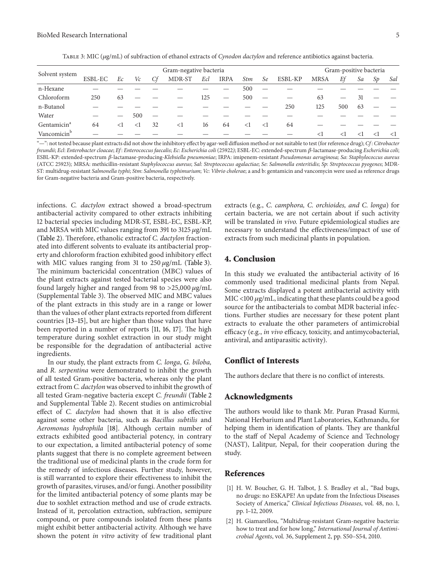| TABLE 3: MIC ( $\mu$ g/mL) of subfraction of ethanol extracts of Cynodon dactylon and reference antibiotics against bacteria. |  |
|-------------------------------------------------------------------------------------------------------------------------------|--|
|                                                                                                                               |  |

| Solvent system          |         | Gram-negative bacteria |          |    |          |     |                          |     |          |         |             | Gram-positive bacteria |        |          |          |  |
|-------------------------|---------|------------------------|----------|----|----------|-----|--------------------------|-----|----------|---------|-------------|------------------------|--------|----------|----------|--|
|                         | ESBL-EC | Ec                     | Vc       | Сf | MDR-ST   | Ecl | <b>IRPA</b>              | Stm | Se       | ESBL-KP | <b>MRSA</b> | Ef                     | Sa     | Sp       | Sal      |  |
| n-Hexane                |         |                        |          |    |          |     |                          | 500 |          |         |             |                        |        |          |          |  |
| Chloroform              | 250     | 63                     |          |    |          | 125 | $\overline{\phantom{m}}$ | 500 |          |         | 63          |                        | -31    |          |          |  |
| n-Butanol               |         |                        |          |    |          |     |                          |     |          | 250     | 125         | 500                    | 63     |          |          |  |
| Water                   |         |                        | 500      |    |          |     |                          |     |          |         |             |                        |        |          |          |  |
| Gentamicin <sup>a</sup> | 64      | <1                     | $\leq$ 1 | 32 | $\leq$ 1 | 16  | 64                       | <1  | $\leq$ 1 | 64      |             |                        |        |          |          |  |
| Vancomicin <sup>b</sup> |         |                        |          |    |          |     |                          |     |          |         | $<$ 1       | $\leq$                 | $\leq$ | $\leq$ 1 | $\leq$ 1 |  |

"-": not tested because plant extracts did not show the inhibitory effect by agar-well diffusion method or not suitable to test (for reference drug); *Cf* : *Citrobacter freundii*; *Ecl*: *Enterobacter cloacae*; *Ef* : *Enterococcus faecalis*; *Ec*: *Escherichia coli* (25922*)*; ESBL-EC: extended-spectrum -lactamase-producing *Escherichia coli*; ESBL-KP: extended-spectrum  $\beta$ -lactamase-producing-Klebsiella pneumoniae; IRPA: imipenem-resistant *Pseudomonas aeruginosa*; Sa: Staphylococcus aureus (ATCC 25923)*;* MRSA: methicillin-resistant *Staphylococcus aureus*; *Sal*: *Streptococcus agalactiae*; *Se*: *Salmonella enteritidis*; *Sp*: *Streptococcus pyogenes*; MDR*-*ST: multidrug-resistant *Salmonella typhi*; *Stm*: *Salmonella typhimurium*; *Vc*: *Vibrio cholera*e; a and b: gentamicin and vancomycin were used as reference drugs for Gram-negative bacteria and Gram-positive bacteria, respectively.

infections. *C. dactylon* extract showed a broad-spectrum antibacterial activity compared to other extracts inhibiting 12 bacterial species including MDR-ST, ESBL-EC, ESBL-KP, and MRSA with MIC values ranging from 391 to 3125  $\mu$ g/mL (Table 2). Therefore, ethanolic extractof *C. dactylon* fractionated into different solvents to evaluate its antibacterial property and chloroform fraction exhibited good inhibitory effect with MIC values ranging from 31 to  $250 \mu g/mL$  (Table 3). The minimum bactericidal concentration (MBC) values of the plant extracts against tested bacterial species were also found largely higher and ranged from 98 to  $>25,000 \mu g/mL$ (Supplemental Table 3). The observed MIC and MBC values of the plant extracts in this study are in a range or lower than the values of other plant extracts reported from different countries [13–15], but are higher than those values that have been reported in a number of reports [11, 16, 17]. The high temperature during soxhlet extraction in our study might be responsible for the degradation of antibacterial active ingredients.

In our study, the plant extracts from *C. longa*, *G. biloba,* and *R. serpentina* were demonstrated to inhibit the growth of all tested Gram-positive bacteria, whereas only the plant extract from *C. dactylon*was observed to inhibit the growth of all tested Gram-negative bacteria except *C. freundii* (Table 2 and Supplemental Table 2). Recent studies on antimicrobial effect of *C. dactylon* had shown that it is also effective against some other bacteria, such as *Bacillus subtilis* and *Aeromonas hydrophila* [18]. Although certain number of extracts exhibited good antibacterial potency, in contrary to our expectation, a limited antibacterial potency of some plants suggest that there is no complete agreement between the traditional use of medicinal plants in the crude form for the remedy of infectious diseases. Further study, however, is still warranted to explore their effectiveness to inhibit the growth of parasites, viruses, and/or fungi. Another possibility for the limited antibacterial potency of some plants may be due to soxhlet extraction method and use of crude extracts. Instead of it, percolation extraction, subfraction, semipure compound, or pure compounds isolated from these plants might exhibit better antibacterial activity. Although we have shown the potent *in vitro* activity of few traditional plant extracts (e.g., *C. camphora, C. orchioides, and C. longa*) for certain bacteria, we are not certain about if such activity will be translated *in vivo.* Future epidemiological studies are necessary to understand the effectiveness/impact of use of extracts from such medicinal plants in population.

# **4. Conclusion**

In this study we evaluated the antibacterial activity of 16 commonly used traditional medicinal plants from Nepal. Some extracts displayed a potent antibacterial activity with MIC <100  $\mu$ g/mL, indicating that these plants could be a good source for the antibacterials to combat MDR bacterial infections. Further studies are necessary for these potent plant extracts to evaluate the other parameters of antimicrobial efficacy (e.g., *in vivo* efficacy, toxicity, and antimycobacterial, antiviral, and antiparasitic activity).

# **Conflict of Interests**

The authors declare that there is no conflict of interests.

## **Acknowledgments**

The authors would like to thank Mr. Puran Prasad Kurmi, National Herbarium and Plant Laboratories, Kathmandu, for helping them in identification of plants. They are thankful to the staff of Nepal Academy of Science and Technology (NAST), Lalitpur, Nepal, for their cooperation during the study.

#### **References**

- [1] H. W. Boucher, G. H. Talbot, J. S. Bradley et al., "Bad bugs, no drugs: no ESKAPE! An update from the Infectious Diseases Society of America," *Clinical Infectious Diseases*, vol. 48, no. 1, pp. 1–12, 2009.
- [2] H. Giamarellou, "Multidrug-resistant Gram-negative bacteria: how to treat and for how long," *International Journal of Antimicrobial Agents*, vol. 36, Supplement 2, pp. S50–S54, 2010.